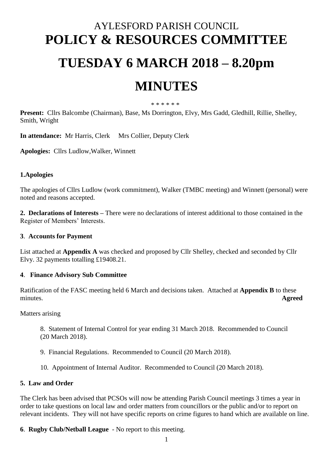# AYLESFORD PARISH COUNCIL **POLICY & RESOURCES COMMITTEE**

## **TUESDAY 6 MARCH 2018 – 8.20pm**

## **MINUTES**

\* \* \* \* \* \*

**Present:** Cllrs Balcombe (Chairman), Base, Ms Dorrington, Elvy, Mrs Gadd, Gledhill, Rillie, Shelley, Smith, Wright

**In attendance:** Mr Harris, Clerk Mrs Collier, Deputy Clerk

**Apologies:** Cllrs Ludlow,Walker, Winnett

## **1.Apologies**

The apologies of Cllrs Ludlow (work commitment), Walker (TMBC meeting) and Winnett (personal) were noted and reasons accepted.

**2. Declarations of Interests –** There were no declarations of interest additional to those contained in the Register of Members' Interests.

#### **3**. **Accounts for Payment**

List attached at **Appendix A** was checked and proposed by Cllr Shelley, checked and seconded by Cllr Elvy. 32 payments totalling £19408.21.

#### **4**. **Finance Advisory Sub Committee**

Ratification of the FASC meeting held 6 March and decisions taken. Attached at **Appendix B** to these minutes. **Agreed**

Matters arising

8. Statement of Internal Control for year ending 31 March 2018. Recommended to Council (20 March 2018).

- 9. Financial Regulations. Recommended to Council (20 March 2018).
- 10. Appointment of Internal Auditor. Recommended to Council (20 March 2018).

#### **5. Law and Order**

The Clerk has been advised that PCSOs will now be attending Parish Council meetings 3 times a year in order to take questions on local law and order matters from councillors or the public and/or to report on relevant incidents. They will not have specific reports on crime figures to hand which are available on line.

**6**. **Rugby Club/Netball League** - No report to this meeting.